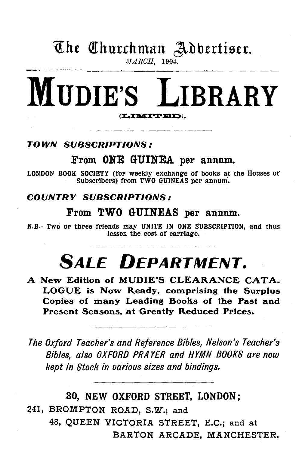### The Churchman Adbertiser. MARCH, 1904.

# MUDIE'S LIBRARY (LIMITED).

### TOWN SUBSCRIPTIONS:

### From ONE GUINEA per annum.

LONDON BOOK SOCIETY (for weekly exchange of books at the Houses of Subscribers) from TWO GUINEAS per annum.

### COUNTRY SUBSCRIPTIONS:

### From TWO GUINEAS per annum.

N.B.-Two or three friends may UNITE IN ONE SUBSCRIPTION, and thus lessen the cost of carriage.

# **SALE DEPARTMENT.**

A New Edition of MUDIE'S CLEARANCE CATA= LOGUE is Now Ready, comprising the Surplus Copies of many Leading Books of the Past and Present Seasons, at Greatly Reduced Prices.

*The Oxford Teacher's and Reference Bibles, Nelson's Teacher's Bibles, also OXFORD PRAYER and HYMN BOOKS are now kept in Stock in uarious sizes and bindings.* 

30, NEW OXFORD STREET, LONDON; 241, BROMPTON ROAD, S.W.; and 48, QUEEN VICTORIA STREET, E.C.; and at BARTON ARCADE, MANCHESTER.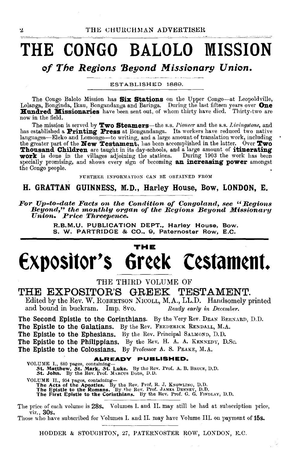# **THE CONGO BALOLO MISSION**

### *of The Regions 'Beyond M issionarg Union.*

ESTABLISHED 1889.

The Congo Balolo Mission has Six Stations on the Upper Congo---at Leopoldville, Lolanga, Bonginda, Ikau, Bongandanga and Baringa. During the last fifteen years over One Hundred Missionaries have been sent out, of whom thir

The mission is served by  $\textbf{Two Steames}-$ the s.s. *Pioneer* and the s.s. *Livingstone*, and has established a **Printing Press** at Bongandanga. Its workers have reduced two native languages—Eleko and Lomongo—to writing, and a large amount of translation work, including<br>the greater part of the **New Testament**, has been accomplished in the latter. Over **Two Thousand Children** are taught in its day-schools, and a large amount of **itinerating** work is done in the villages adjoining the stations. During 1903 the work has been specially promising, and shows every sign of becoming an increasing power amongst the Congo people.

FURTHER INFORMATION CAN BE OBTAINED FROM

### H. GRATTAN GUINNESS, M.D., Harley House, Bow, LONDON, E.

*For Up-to-date Facts ort the Condition of Congoland, see "Regions*  Beyond," the monthly organ of the Regions Beyond Missionary<br>Union. Price Threepence.

> R.B.M.U. PUBLICATION DEPT., Harley House, Bow. S. W. PARTRIDGE & CO., 9, Paternoster Row, E.C.

### **THE Expositor's 6r¢¢k C¢stam¢nt.**

THE THIRD VOLUME OF

### THE EXPOSITOR'S GREEK TESTAMENT.

Edited by the Rev. W. RoBERTSON NICOLL, M.A., LL.D. Handsomely printed and bound in buckram. Imp. Svo. *Ready early in December.* 

The Second Epistle to the Corinthians. By the Yery Rev. DEAN BERNARD, D.D. The Epistle to the Galatians. By the Rev. FREDERICK RENDALL, M.A. The Epistle to the Ephesians. By the Rev. Principal SALMOND, D.D. The Epistle to the Philippians. By the Rev. H. A. A. KENNEDY, D.Sc. The Epistle to the Colossians. By Professor A. S. PEAKE, M.A.

**ALREADY PUBLISHED.**<br>VOLUME I., 880 pages, containing-<br>5t. Matthew, 5t. Mark, 5t. Luke. By the Rev. Prof. A. B. Bruce, D.D.<br>5t. John. By the Rev. Prof. MARCUS Dons, D.D. VOLUME II., 954 pages, containing—<br>The Acts of the Apostles. By the Rev. Prof. R. J. KNOWLING, D.D.<br>The Epistle to the Romans. By the Rev. Prof. JAMES DENNEY, D.D.<br>The First Epistle to the Corinthians. By the Rev. Prof. G.

The price of each volume is 28s. Volumes I. and II. may still be had at subscription price, viz., 30s.

Those who have subscribed for Volumes I. and II. may have Volume III. on payment of 15s.

HODDER & STOUGHTON, 27, PATERNOSTER ROW, LONDON, E.C.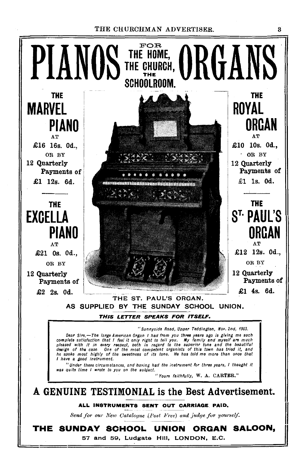THE CHURCHMAN ADVERTISER.



3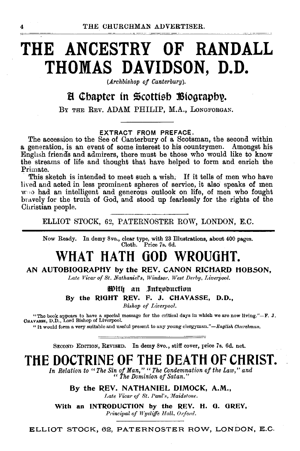# **THE ANCESTRY OF RANDALL THOMAS DAVIDSON, D.D.**

*(Archbishop of Canterbury).* 

### H Chapter in Scottish Biography.

BY THE REv. ADAM PHILIP, M.A., LoNGFORGAN.

#### EXTRACT FROM PREFACE.

The accession to the See of Canterbury of a Scotsman, the second within a generation, is an event of some interest to his countrymen. Amongst his Enghsh friends and admirers, there must be those who would like to know the streams of life and thought that have helped to form and enrich the Primate.

This sketch is intended to meet such a wish; If it tells of men who have lived and acted in less prominent spheres of service, it also speaks of men who had an intelligent and generous outlook on life, of men who fought bravely for the truth of God, and stood up fearlessly for the rights of the Christian people.

ELLIOT STOCK, 62, PATERNOSTER ROW, LONDON, E.C.

Now Ready. In demy 8vo., clear type, with 23 Illustrations, about 400 pages. Cloth. Price 7s. 6d.

### **WHAT HATH GOD WROUGHT.**

#### AN AUTOBIOGRAPHY by the REV. CANON RICHARD HOBSON,

Late Vicar of St. Nathaniel's, Windsor, West Derby, Liverpool.

With an Introduction By the RIOHT REV. F. J. CHAVASSE, D.O., *Bishop of Liverpool.* 

"The book appears to have a special message for the critical days in whlch we are now living."-F. J. CHAVASSE, D.D., Lord Bishop of Liverpool.

" It would form a very suitable and useful present to any young clergyman." *-English Chw·chmun.* 

SECOND EDITION, REVISED. In demy 8vo., stiff cover, price 7s. 6d. net.

### **THE DOCTRINE OF THE DEATH OF CHRIST.**

*In Relation to "The Sin of Man," "The Condemnation of the Law," and*  " *The Dominion of Satan."* 

By the REV. NATHANIEL DIMOCK, A.M., Late Vicar of St. Paul's, Maidstone.

With an INTRODUCTION by the REV. H. G. GREY, *Principal of Wycliffe Hall, Oxford.*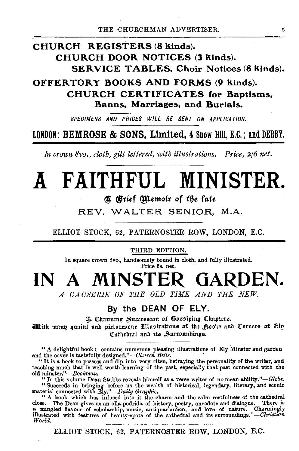### CHURCH REGISTERS (8 kinds). CHURCH DOOR NOTICES (3 kinds). **SERVICE TABLES. Choir Notices (8 kinds).**

OFFERTORY BOOKS AND FORMS (9 kinds). **CHURCH CERTIFICATES for Baptisms, Banns. Marriages, and Burials.** 

SPECIMENS AND PRICES WILL BE SENT ON APPLICATION.

LONDON: BEMROSE & SONS. Limited. 4 Snow Hill. E.C.: and DERBY.

In crown 8vo., cloth, gilt lettered, with illustrations. Price, 2/6 net.

# A FAITHFUL MINISTER.

### **a Brief Memoir of the fate**

REV. WALTER SENIOR, M.A.

ELLIOT STOCK, 62, PATERNOSTER ROW, LONDON, E.C.

THIRD EDITION.

In square crown 8vo., handsomely bound in cloth, and fully illustrated. Price 6s. net.

# IN A MINSTER GARDEN.

A CAUSERIE OF THE OLD TIME AND THE NEW.

### By the DEAN OF ELY.

A Charming Succession of Gossiping Chapters.

With many quaint and picturesque Hlustrations of the Rooks and Corners of Elp Cathedral and its Surroundings.

" A delightful book; contains numerous pleasing illustrations of Ely Minster and garden and the cover is tastefully designed."-Church Bells.

"It is a book to possess and dip into very often, betraying the personality of the writer, and teaching much that is well worth learning of the past, especially that past connected with the old minster."-Bookman.

" "In this volume Dean Stubbs reveals himself as a verse writer of no mean ability."—Globe.<br>"Succeeds in bringing before us the wealth of historical, legendary, literary, and scenic material connected with Ely."—Daily Grap

"A book which has infused into it the charm and the calm restfulness of the cathedral<br>close. The Dean gives us an olla-podrida of history, poetry, anecdote and dialogue. There is<br>a mingled flavour of scholarship, music, an World.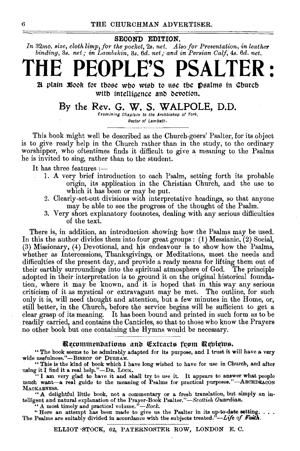#### SECOND EDITION.

*In* 32mo. *size, cloth limp, for the pocket,* 2s. *net. Also for Presentation, in leather binding, 3s. net; in Lambskin, 3s. 6d. net; and in Persian Calf, 4s. 6d. net.* 

# **THE PEOPLE'S PSALTER** :

 ${\mathfrak{A}}$  plain Book for tbose who wish to use the Dsalms in Church with intelligence and devotion.

### By the Rev. G. W. S. WALPOLE, D.D.

Examining Chaplain to the Archbishop of York, Rector of Lambeth.

This book might well be described as the Church-goers' Psalter, for its object is to give ready help in the Church rather than in the study, to the ordinary worshipper, who oftentimes finds it difficult to give a meaning to the Psalms he is invited to sing, rather than to the student.

It has three features:—

- 1. A very brief introduction to each Psalm, setting forth its probable origin, its application in the Christian Church, and the use to which it has been or may be put.
- 2. Clearly-set-out divisions with interpretative headings, so that anyone may be able to see the progress of the thought of the Psalm.
- 3. Very short explanatory footnotes, dealing with any serious difficulties of the text.

There is, in addition, an introduction showing how the Psalms may be used. In this the author divides them into four great groups: (1) Messianic, (2) Social, (3) Missionary, (4) Devotional, and his endeavour is to show how the Psalms, whether as Intercessions, Thanksgivings, or Meditations, meet the needs and difficulties of the present day, and provide a ready means for lifting them out of their earthly surroundings into the spiritual atmosphere of God. The principle adopted in their interpretation is to ground it on the original historical foundation, where it may be known, and it is hoped that in this way any serious criticism of it as mystical or extravagant may be met. The outline, for such only it is, will need thought and attention, but a few minutes in the Home, or, still better, in the Church, before the service begins will be sufficient to get a clear grasp of its meaning. It has been bound and printed in such form as to be readily carried, and contains the Canticles, so that to those who know the Prayers no other book but one containing the Hymns would be necessary.

#### Recommendations and Extracts from Reviews.

"The book seems to be admirably adapted for ita purpose, and I trust it will have a very wide usefulness."-BISHOP OF DURHAM.

"This is the kind of book which I have long wished to have for use in Church, and after using it I find it a real help."-Dn. LocK. " I am very glad to have it and shall try to u•e it. It appears to answer what people

much want-a real guide to the meaning of Psalms for practical purposes."-ARCHDEACON MACKABNESS.

"A delightful little book, not a commentary or a fresh translation, but simply an in-telligent and natural explanation of the Prayer-Book Psalter."-Scottish *Guardian.*  "A most timely and practical volume."-Rock.

"Here an attempt has been made to give us the Psalter in its up-to-date setting.  $\dots$ The Psalms are suitably divided in accordance with the subjects treated.<sup> $\ddot{\nu}$ </sup>-Life of Faith.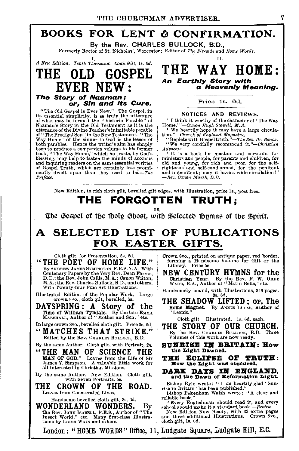### BOOKS FOR LENT & CONFIRMATION.

By the Rev. CHARLES BULLOCK, B.D., Formerly Rector of St. Nicholas', Worcester; Editor of *The Fireside* and *Home Words*.

 $I.$  II. II.

# The Story of Naaman;

**or, Sin and its Cure.**<br>The Old Gospel is Ever New." The Gospel, in sue ou compet is a severally in every the uterance<br>its essential simplicity, is a truly the utterance<br>of what may be termed the "historic Parable" of<br>Navanna's Story in the Old Testament as it is the<br>uterance of the Divine best to produce a companion volume to his former<br>book, "The Way Home," which he trusts, by God's<br>blessing, may help to fasten the minds of anxious<br>and inquiring readers on the same essential verities<br>of Gospel Truth, which nently dwelt upon than they used to be.-The Preface.

*A New Edition. Tenth Thousand. Cloth Gilt, 1s. 6d.* THE WAY HOME:  $\overline{\mathrm{EVER}}$   $\overline{\mathrm{NEW}}$  :  $\overline{\mathrm{AP}}$  an Earthly Story with a Heavenly Meaning.

Price 1s. 6d.

#### NOTICES AND REVIEWS.

"I think it worthy of the character of 'The Way Home.' "-Canon Hugh Stowell, M.A. **"** We heartily hope it may have a large circula-

tion."--Church of England Magazine.<br>
"Replete with Gospel truth."-The *Rev. Dr. Bonar.*<br>
"We very cordially recommend it."--Christian

*Advocate.* "It is a book for masters and servants, for "It is a book for masters and children, for old and poor, for the self-<br>old and young, for rich and poor, for the selfrighteous and self-condemned, for the penitent and impenitent; may it have a wide circulation!"<br>-*Rev. Canon Marsh, D.D.* 

New Edition, in rich cloth gilt, bevelled gilt edges, with Illustration, price ls., post free.

### THE FORGOTTEN TRUTH;

OR,

The Gospel of the Holy Ghost, with Selected Ibymns of the Spirit.

### A SELECTED LIST OF PUBLICATIONS FOR EASTER GIFTS.

Cloth gilt, for Presentation, 3s. 6d. "THE POET OF HOME LIFE." By ANDREW JAMES SYMINGTON, F.R.S.N.A. With<br>Centenary Papers by the Very Rev. Dean Farrar,<br>D.D.; the Rev. John Callis, M.A.; Canon Wilton,<br>M.A.; the Rev. Charles Bullock, B.D., and others.<br>With Twenty-four Fine Art Illustra

Illustrated Edition of the Popular Work. Large crown Svo., cloth gilt, bevelled, 5s.

DAYSPRING: A Story of the Time of William Tyndale. By the late EMMA MARSHALL, Author of "Mother and Son," etc.

In large crown 8vo., bevelled cloth gilt. Price 3s. 6d

"MATCHES THAT STRIKE." Edited by the Rev. CHARLES BuLLOCK, B.D.

By the same Author. Cloth gilt, with Portrait, 2s.

"THE MAN OF SCIENCE THE MAN OF GOD." Leaves from the Life of Sir James Y. Simpson. A valuable little work for all interested in Christian Missions.

By the same Author. New Edition. Cloth gilt, with Seven Portraits, 5s.

THE CROWN OF THE ROAD. Leaves from Consecrated Lives.

Handsome bevelled cloth gilt, 3s, 6d.

WONDERLAND WONDERS. By the Rev. JOHN ISABRLL, F.E.S., Anthor of "The Insect World," etc. Many first-class Illustra-<br>tions by Louis WAIN and others.

Crown 8vo., printed on antique paper, red border, forming a Handsome Volume for Gift or the Library. Price 5s.

NEW CENTURY HYMNS for the Christian Year. By the Rev. F. W. ORnE WARD, B.A., Author of'' Matin Bells," etc.

Handsomely bound, with Illustrations, 346 pages,<br>THE SHADOW LIFTED; or, The

Home Magnet. By ANNIE Lucas, Author of "Leonie."

Cloth gilt. Illustrated. Is. 6d. each.

THE STORY OF OUR CHURCH. By the Rev. CHARLES BuLLocK, B.D. Three Volumes of this work are now ready.

SUNRISE IN BRITAIN: How the Light Dawned.

THE ECLIPSE OF TRUTH: How the Light was obscured.

DARK DAYS IN ENGLAND, and the Dawn of Beformation Light.

Bishop Ryle wrote: " I am heartily glad 'Sun-<br>rise in Britain' has been published."<br>Bishop Pakenham Walsh wrote: " A clear and

reliable book."<br>"Every Englishman should read it, and every schr ol should make it a standard book.-Review.

New Edition Now Ready, with 32 extra pages and three additional Illustrations. Crown 8vo., cloth gilt, Is. 6d.

London: "HOME WORDS" Office, 11, Ludgate Square, Ludgate Hill, E.C.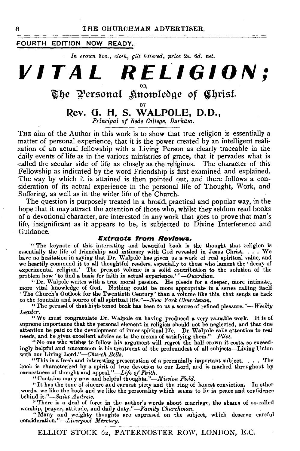#### **FOURTH EDITION NOW READY.**

*In crown 8vo., cloth, gilt l61tered, price* 2s. *6d. net.* 

### **VITAL RELIGION;**  OR,

### The Personal *S*inowledge of Christ.

### BY **Rev. G. H. S. WALPOLE, D.D.,**

*Principal of Bede College, Durham.* 

THE aim of the Author in this work is to show that true religion is essentially a matter of personal experience, that it is the power created by an intelligent realization of an actual fellowship with a Living Person as clearly traceable in the daily events of life as in the various ministries of grace, that it pervades what is called the secular side of life as closely as the religious. The character of this Fellowship as indicated by the word Friendship is first examined and explained. The way by which it is attained is then pointed out, and there follows a consideration of its actual experience in the personal life of Thought, Work, and .Suffering, as well as in the wider life of the Church.

The question is purposely treated in a broad, practical and popular way, in the hope that it may attract the attention of those who, whilst they seldom read books of a devotional character, are interested in any work that goes to prove that man's life, insignificant as it appears to be, is subjected to Divine Interference and Guidance.

#### **Extracts from Reviews.**

"The keynote of this interesting and beautiful book is the thought that religion is essentially the life of friendship and intimacy with God revealed in Jesus Christ. . . . We have no hesitation in saying that Dr. Walpole has given us a work of real spiritual value, and have no hesitation in saying that Dr. Walpole has given us a work of real spiritual value, and<br>we heartily commend it to all thoughtful readers, especially to those who lament the 'decay of<br>experimental religion.' The pres problem how 'to find a basis for faith in actual experience.'"-Guardian.

"Dr. Walpole writes with a true moral passion. He pleads for a deeper, more intimate, more vital knowledge of God. Nothing could be more appropriate in a series calling itself 'The Church's Outlook for the Twentieth Century' than a volume like this, that sends us back to the fountain and source of all spiri

"The perusal of that high-toned book bas been to us a source of refined pleasure."- *Weekly*  Leader.

"We must congratulate Dr. Walpole on having produced a very valuable work. It is of supreme importance that the personal element in religion should not be neglected, and that due attention be paid to the development of inner spiritual life. Dr. Walpole calls attention to real needs, and he gives excellent advice as to the means of satisfying them."-Pilot.

"No one who wishes to follow his argument will regret the half-crown it costs, so exceedingly helpful and uncommon is his treatment of the profoundest of all subjects-Living Union with our Living Lord."-Church Bells.

what our Living Lota and interesting presentation of a perennially important subject. . . . The<br>book is characterized by a spirit of true devotion to our Lord, and is marked throughout by<br>earnestness of thought and appeal

words, we like the book and we like the personality which  $se\epsilon$ ms to lie in peace and confidence behind *it."-Saint Andrew.* 

" There is a deal of force in the author's words about marriage, the shams of so-called

worship, prayer, attitude, and daily duty."-*Family Churchman.*<br>
"Many and weighty thoughts are expressed on the subject, which deserve careful<br>
consideration."-*Liverpool Mercury*.

8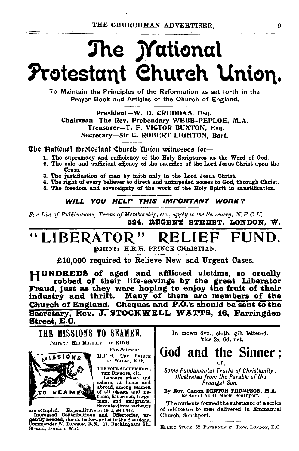# The *M*ational Protestant Church Union.

To Maintain the Principles of the Reformation as set torth in the Praver Book and Articles of the Church of England.

President-W. D. CRUDDAS, Esq. Chairman-The Rev. Prebendary WEBB-PEPLOE, M.A. Treasurer-T. F. VICTOR BUXTON, Esq. Secretary-Sir C. ROBERT LIGHTON, Bart.

The Bational Drotestant Church Union witnesses for-

- 1. The supremacy and sufficiency of the Holy Scriptures as the Word of God.
- 2. The sole and sufficient efficacy of the sacrifice of the Lord Jesus Christ upon the Cross.
- 3. The justification of man by faith only in the Lord Jesus Christ.
- 4. The right of every believer to direct and unimpeded access to God, through Christ.
- 5. The freedom and sovereignty of the work of the Holy Spirit in sanctification.

#### WILL YOU HELP THIS IMPORTANT WORK?

For List of Publications, Terms of Membership, etc., apply to the Secretary, N.P.C.U. 324. REGENT STREET. LONDON. W.

### "LIBERATOR" Fi

Datron: H.R.H. PRINCE CHRISTIAN.

£10,000 required to Relieve New and Urgent Cases.

HUNDREDS of aged and afflicted victims, so cruelly robbed of their life-savings by the great Liberator Fraud, just as they were hoping to enjoy the fruit of their industry and thrift. Many of them are members of the Church of England. Cheques and P.O.'s should be sent to the Secretary, Rev. J. STOCKWELL WATTS, 16. Farringdon Street, E.C.



Strand, London W.C.

In crown 8vo., cloth, gilt lettered. Price 2s. 6d. net.

### God and the Sinner: OR.

**Some Fundamental Truths of Christlanity: Illustrated from the Parable of the** Prodigal Son.

By Rev. Canon DENTON THOMPSON. M.A.<br>Rector of North Meols, Southport.

The contents formed the substance of a series of addresses to men delivered in Emmanuel Church, Southport.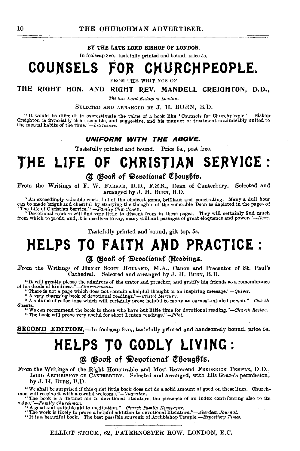#### BY THE LATE LORD BISHOP OF LONDON.

In foolscap Svo., tastefully printed and bound, price 5s.

### COUNSELS FOR CHURCHPEOPLE.

FROM THE WRITINGS OF

THE RIGHT HON. AND RIGHT REV. MANDELL CREIGHTON, D.D.,

*The late Lotd Bishop of London.* 

SELECTED AND ARRANGED BY J. H. BURN, B.D.

"It would be difficult to overestimate the value of a book like 'Counsels for Churchpoople.' Bishop Creighton is invariably clear, seusible, and suggestive, and his manner of treatment is admirably united to the mental habits of the *time."-Littrature*.

#### UNIFORM WITH THE ABOVE.

Tastefully printed and bound. Price 5s., post free.

### **THE LIFE OF CHRISTIAN SERVICE** ·

#### @: @ooft of ~koofionCtf t'6oug6fa.

From the Writings of F. W. FARRAR, D.D., F.R.S., Dean of Canterbury. Selected and arranged by J. H. BuRN, B.D.

"An exceedingly valuable work, full of the choicest gems, brilliant and penetrating. Many a dull hour can be made bright and cheerful by studying the thoughts of the venerable Dean as depicted in the pages of "The Life of

Tastefully printed and bound, gilt top. 5s.

### **)'(ELPS TO FAITH AND PRACTICE:**

### **(3)** (Book of Devotional (Readings.

From the Writings of HENRY SCOTT HOLLAND, M.A., Canon and Precentor of St. Paul's. Cathedral. Selected and arranged by J. H. BuRN, B.D.

"It will greatly please the admirers of the orator and preacher, and gratify his friends as a remembrance<br>of his deeds of kindness."--Churchwoman.<br>"There is not a page which does not contain a helpful thought or an inspir

*Gazette.* "We can recommend the book to those who have but little time for devotional reading."--Church Review.<br>"We can recommend the book to those who have but little time for devotional reading."--Church Review.

**SECOND EDITION.**—In foolscap 8vo., tastefully printed and handsomely bound, price 5s.

### **HELPS TO GODLY LIVING:**

 $\alpha$  Boott of Devotional Choughts.

From the Writings of the Right Honourable and Most Reverend FREDERICK TEMPLE, D.D., LORD ARCHBISHOP OF CANTERBURY. Selected and arranged, with His Grace's permission, by J. H. BURN, B.D.

"We shall be surprised if this quiet little book does not do a solid amount of good on these lines. Church-<br>men will receive it with a cordial welcome."—*Guardian*.<br>"The book is a distinct aid to devotional literature, th

value."-*Family Churchman*.<br>"A good and suitable aid to meditation."-Church Family Newspaper.

"The work is likely to prove a helpful addition to devotional literature."—Aberdeen Journal.<br>"It is a beautiful book. The best possible souvenir of Archbishop Temple.—Expository Times.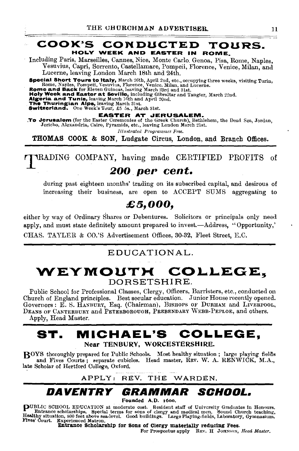#### COOK'S CONDUCTED TOURS. HOLY WEEK AND EASTER IN ROME.

Including Paris, Marseilles, Cannes, Nice, Monte Carlo. Genoa, Pisa, Rome, Naples, Vesuvius, Capri, Sorrento, Castellamare, Pompeii, Florence, Venice, Milan, and Lucerne, leaving London March 18th and 24th.

Special Short Tours to Italy, March 26th, April 2nd, etc., occupying three weeks, visiting Turin,<br>Rome, Naples, Pompeii, Vesuvius, Florence, Venice, Milan, and Lucerne.<br>Rome and Back for Eleven Guineas, leaving March 23rd

EASTER AT JERUSALEM.<br>To Jerusalem (for the Easter Ceremonies of the Greek Church), Bethlehem, the Dead Sca, Jordan,<br>Jericho, Alexandria, Cairo, Pyramids, etc., leaving London March 21st.

lllw~trated *ProgrammeB Free.* 

THOMAS COOK & SON, Ludgate Circus, London, and Branch Offices.

TRADING COMPANY, having made CERTIFIED PROFITS of

### *200 per cent.*

during past eighteen months' trading on its subscribed capital, and desirous of increasing their business, are open to ACCEPT SUMS aggregating to

### *£5,000,*

either by way of Ordinary Shares or Debentures. Solicitors or principals only need apply, and must state definitely amount prepared to invest.-Address, ''Opportunity,'

CHAS. TAYLER & CO.'S Advertisement Offices, 30-32, Fleet Street, E.C.

### EDUCATIONAL.

### WEYMOUTH COLLEGE. DORSETSHIRE.

Public School for Professional Classes, Clergy, Officers, Barristers, etc., conducted on Church of England principles. Best secular education. Junior House recently opened. Governors: E. S. HANBURY, Esq. (Chairman), BISHOPS OF DURHAM and LIVERPOOL, DEANS OF CANTERBURY and PETERBOROUGH, PREBENDARY WEBB-PEPLOE, and others.

Apply, Head Master.

### **ST. MICHAEL'S COLLEGE,**  Near TENBURY, WORCESTERSHIRE.

ROYS thoroughly prepared for Public Schools. Most healthy situation; large playing fields and Fives Courts; separate cubicles. Head master, REV. W. A. RENWICK, M.A., late Scholar of Hertford College, Oxford.

### APPLY: REV. THE WARDEN.

### **DAVENTRY GRAMMAR SCHOOL.**

Founded A.D. 16oo.

puBLIC SCHOOL EDUCATION at moderate cost. Resident staff of University Graduates in Honours. Entrance scholarships. Special terms for sons of clergy and medical men. Sound Church teaching, Healthy situation, 800 feet above sea-level. Good buildings. Large Playing-fields, Laboratory, Gymnasium.<br>Fives' Court. Experienced Matron.

Entrance Scholarship for Sons of Clergy materially reducing Fees.<br>For Prospectus apply REV. H JOHNSON, *Head Master.*